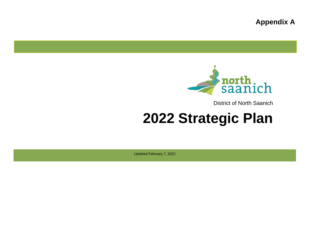**Appendix A**



District of North Saanich

# **2022 Strategic Plan**

Updated February 7, 2022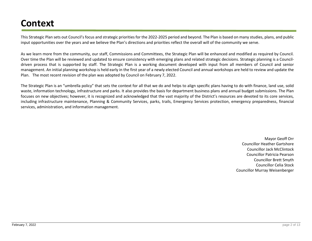# **Context**

This Strategic Plan sets out Council's focus and strategic priorities for the 2022-2025 period and beyond. The Plan is based on many studies, plans, and public input opportunities over the years and we believe the Plan's directions and priorities reflect the overall will of the community we serve.

As we learn more from the community, our staff, Commissions and Committees, the Strategic Plan will be enhanced and modified as required by Council. Over time the Plan will be reviewed and updated to ensure consistency with emerging plans and related strategic decisions. Strategic planning is a Councildriven process that is supported by staff. The Strategic Plan is a working document developed with input from all members of Council and senior management. An initial planning workshop is held early in the first year of a newly elected Council and annual workshops are held to review and update the Plan. The most recent revision of the plan was adopted by Council on February 7, 2022.

The Strategic Plan is an "umbrella policy" that sets the context for all that we do and helps to align specific plans having to do with finance, land use, solid waste, information technology, infrastructure and parks. It also provides the basis for department business plans and annual budget submissions. The Plan focuses on new objectives; however, it is recognized and acknowledged that the vast majority of the District's resources are devoted to its core services, including infrastructure maintenance, Planning & Community Services, parks, trails, Emergency Services protection, emergency preparedness, financial services, administration, and information management.

> Mayor Geoff Orr Councillor Heather Gartshore Councillor Jack McClintock Councillor Patricia Pearson Councillor Brett Smyth Councillor Celia Stock Councillor Murray Weisenberger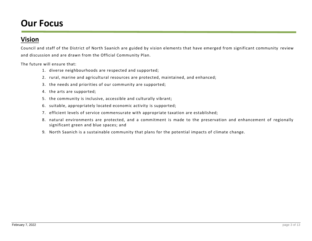# **Our Focus**

### **Vision**

Council and staff of the District of North Saanich are guided by vision elements that have emerged from significant community review and discussion and are drawn from the Official Community Plan.

The future will ensure that:

- 1. diverse neighbourhoods are respected and supported;
- 2. rural, marine and agricultural resources are protected, maintained, and enhanced;
- 3. the needs and priorities of our community are supported;
- 4. the arts are supported;
- 5. the community is inclusive, accessible and culturally vibrant;
- 6. suitable, appropriately located economic activity is supported;
- 7. efficient levels of service commensurate with appropriate taxation are established;
- 8. natural environments are protected, and a commitment is made to the preservation and enhancement of regionally significant green and blue spaces; and
- 9. North Saanich is a sustainable community that plans for the potential impacts of climate change.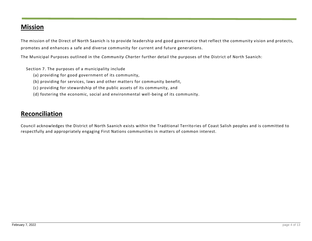### **Mission**

The mission of the Direct of North Saanich is to provide leadership and good governance that reflect the community vision and protects, promotes and enhances a safe and diverse community for current and future generations.

The Municipal Purposes outlined in the *Community Charter* further detail the purposes of the District of North Saanich:

Section 7. The purposes of a municipality include

- (a) providing for good government of its community,
- (b) providing for services, laws and other matters for community benefit,
- (c) providing for stewardship of the public assets of its community, and
- (d) fostering the economic, social and environmental well-being of its community.

### **Reconciliation**

Council acknowledges the District of North Saanich exists within the Traditional Territo ries of Coast Salish peoples and is committed to respectfully and appropriately engaging First Nations communities in matters of common interest.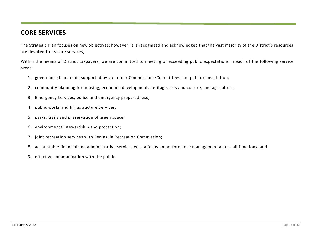### **CORE SERVICES**

The Strategic Plan focuses on new objectives; however, it is recognized and acknowledged that the vast majority of the District's resources are devoted to its core services,

Within the means of District taxpayers, we are committed to meeting or exceeding public expectations in each of the following service areas:

- 1. governance leadership supported by volunteer Commissions/Committees and public consultation;
- 2. community planning for housing, economic development, heritage, arts and culture, and agriculture;
- 3. Emergency Services, police and emergency preparedness;
- 4. public works and Infrastructure Services;
- 5. parks, trails and preservation of green space;
- 6. environmental stewardship and protection;
- 7. joint recreation services with Peninsula Recreation Commission;
- 8. accountable financial and administrative services with a focus on performance management across all functions; and
- 9. effective communication with the public.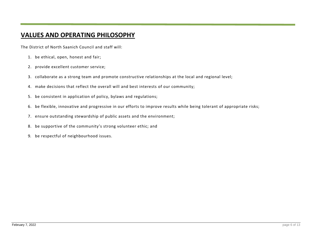# **VALUES AND OPERATING PHILOSOPHY**

The District of North Saanich Council and staff will:

- 1. be ethical, open, honest and fair;
- 2. provide excellent customer service;
- 3. collaborate as a strong team and promote constructive relationships at the local and regional level;
- 4. make decisions that reflect the overall will and best interests of our community;
- 5. be consistent in application of policy, bylaws and regulations;
- 6. be flexible, innovative and progressive in our efforts to improve results while being tolerant of appropriate risks;
- 7. ensure outstanding stewardship of public assets and the environment;
- 8. be supportive of the community's strong volunteer ethic; and
- 9. be respectful of neighbourhood issues.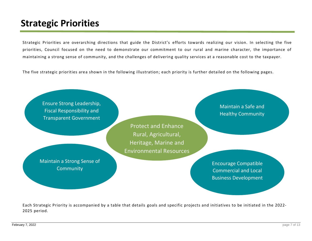# **Strategic Priorities**

Strategic Priorities are overarching directions that guide the District's efforts towards realizing our vision. In selecting the five priorities, Council focused on the need to demonstrate our commitment to our rural and marine character, the importance of maintaining a strong sense of community, and the challenges of delivering quality services at a reasonable cost to the taxpayer.

The five strategic priorities area shown in the following illustration; each priority is further detailed on the following pages.



Each Strategic Priority is accompanied by a table that details goals and specific projects and initiatives to be initiated in the 2022- 2025 period.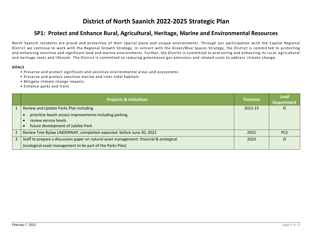# **District of North Saanich 2022-2025 Strategic Plan**

#### **SP1: Protect and Enhance Rural, Agricultural, Heritage, Marine and Environmental Resources**

North Saanich residents are proud and protective of their special place and unique environments. Through our participation with the Capital Regional District we continue to work with the Regional Growth Strategy. In concert with the Green/Blue Spaces Strategy, the District is commit ted to protecting and enhancing sensitive and significant land and marine environments. Further, the District is committed to prot ecting and enhancing its rural, agricultural and heritage roots and lifestyle. The District is committed to reducing greenhouse gas emissions and related costs to address climate change.

- Preserve and protect significant and sensitive environmental areas and ecosystems
- Preserve and protect sensitive marine and inter-tidal habitats
- Mitigate climate change impacts
- Enhance parks and trails

| <b>Projects &amp; Initiatives</b>                                                                                     | <b>Timeline</b> | <b>Lead</b><br><b>Department</b> |
|-----------------------------------------------------------------------------------------------------------------------|-----------------|----------------------------------|
| Review and Update Parks Plan including                                                                                | 2022-23         | IS                               |
| prioritize beach access improvements including parking<br>review service levels<br>future development of Jubilee Park |                 |                                  |
| Review Tree Bylaw UNDERWAY, completion expected before June 30, 2022                                                  | 2022            | <b>PCS</b>                       |
| Staff to prepare a discussion paper on natural asset management: financial & ecological                               | 2023            | IS                               |
| (ecological asset management to be part of the Parks Plan)                                                            |                 |                                  |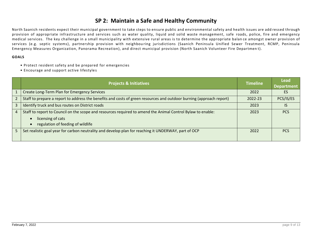#### **SP 2: Maintain a Safe and Healthy Community**

North Saanich residents expect their municipal government to take steps to ensure public and environmental safety and health issues are add ressed through provision of appropriate infrastructure and services such as water quality, liquid and solid waste management, safe roads, police, fire and emergency medical services. The key challenge in a small municipality with extensive rural areas is to determine the appropriate balan ce amongst owner provision of services (e.g. septic systems), partnership provision with neighbouring jurisdictions (Saanich Peninsula Unified Sewer Treatment, RCMP, Peninsula Emergency Measures Organization, Panorama Recreation), and direct municipal provision (North Saanich Volunteer Fire Departmen t).

- Protect resident safety and be prepared for emergencies
- Encourage and support active lifestyles

|                | <b>Projects &amp; Initiatives</b>                                                                                                | <b>Timeline</b> | <b>Lead</b><br><b>Department</b> |
|----------------|----------------------------------------------------------------------------------------------------------------------------------|-----------------|----------------------------------|
|                | <b>Create Long-Term Plan for Emergency Services</b>                                                                              | 2022            | ES                               |
|                | Staff to prepare a report to address the benefits and costs of green resources and outdoor burning (approach report)             | 2022-23         | PCS/IS/ES                        |
| 3              | Identify truck and bus routes on District roads                                                                                  | 2023            |                                  |
| $\overline{4}$ | Staff to report to Council on the scope and resources required to amend the Animal Control Bylaw to enable:<br>licensing of cats | 2023            | <b>PCS</b>                       |
|                | regulation of feeding of wildlife                                                                                                |                 |                                  |
|                | Set realistic goal year for carbon neutrality and develop plan for reaching it UNDERWAY, part of OCP                             | 2022            | <b>PCS</b>                       |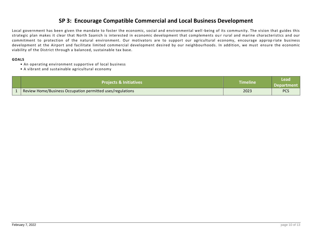#### **SP 3: Encourage Compatible Commercial and Local Business Development**

Local government has been given the mandate to foster the economic, social and environmental well -being of its community. The vision that guides this strategic plan makes it clear that North Saanich is interested in economic development that complements ou r rural and marine characteristics and our commitment to protection of the natural environment. Our motivators are to support our agricultural economy, encourage approp riate business development at the Airport and facilitate limited commercial development desired by our neighbourhoods. In addition, we must ensure the economic viability of the District through a balanced, sustainable tax base.

- An operating environment supportive of local business
- A vibrant and sustainable agricultural economy

| <b>Projects &amp; Initiatives</b>                          | <b>Timeline</b> | Lead<br><b>Department</b> |
|------------------------------------------------------------|-----------------|---------------------------|
| Review Home/Business Occupation permitted uses/regulations | 2023            | <b>PCS</b>                |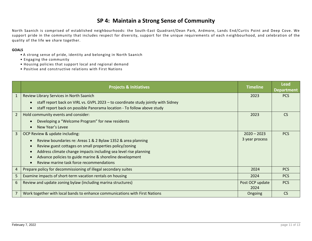#### **SP 4: Maintain a Strong Sense of Community**

North Saanich is comprised of established neighbourhoods: the South -East Quadrant/Dean Park, Ardmore, Lands End/Curtis Point and Deep Cove. We support pride in the community that includes respect for diversity, support for the unique requirements of each n eighbourhood, and celebration of the quality of the life we share together.

- A strong sense of pride, identity and belonging in North Saanich
- Engaging the community
- Housing policies that support local and regional demand
- Positive and constructive relations with First Nations

|                | <b>Projects &amp; Initiatives</b>                                                                                                                            | <b>Timeline</b> | <b>Lead</b><br><b>Department</b> |
|----------------|--------------------------------------------------------------------------------------------------------------------------------------------------------------|-----------------|----------------------------------|
| 1              | Review Library Services in North Saanich                                                                                                                     | 2023            | <b>PCS</b>                       |
|                | staff report back on VIRL vs. GVPL 2023 - to coordinate study jointly with Sidney<br>staff report back on possible Panorama location - To follow above study |                 |                                  |
| $\overline{2}$ | Hold community events and consider:                                                                                                                          | 2023            | <b>CS</b>                        |
|                | Developing a "Welcome Program" for new residents                                                                                                             |                 |                                  |
|                | New Year's Levee                                                                                                                                             |                 |                                  |
| $\overline{3}$ | OCP Review & update including:                                                                                                                               | $2020 - 2023$   | <b>PCS</b>                       |
|                | Review boundaries re: Areas 1 & 2 Bylaw 1352 & area planning                                                                                                 | 3 year process  |                                  |
|                | Review guest cottages on small properties policy/zoning                                                                                                      |                 |                                  |
|                | Address climate change impacts including sea level rise planning                                                                                             |                 |                                  |
|                | Advance policies to guide marine & shoreline development                                                                                                     |                 |                                  |
|                | Review marine task force recommendations                                                                                                                     |                 |                                  |
|                | Prepare policy for decommissioning of illegal secondary suites                                                                                               | 2024            | <b>PCS</b>                       |
| 5              | Examine impacts of short-term vacation rentals on housing                                                                                                    | 2024            | <b>PCS</b>                       |
| 6              | Review and update zoning bylaw (including marina structures)                                                                                                 | Post OCP update | <b>PCS</b>                       |
|                |                                                                                                                                                              | 2024            |                                  |
|                | Work together with local bands to enhance communications with First Nations                                                                                  | Ongoing         | <b>CS</b>                        |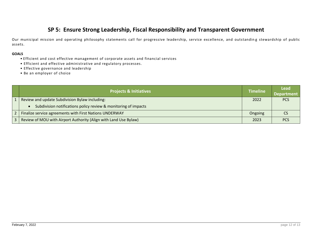#### **SP 5: Ensure Strong Leadership, Fiscal Responsibility and Transparent Government**

Our municipal mission and operating philosophy statements call for progressive leadership, service excellence, and outstandin g stewardship of public assets.

- Efficient and cost effective management of corporate assets and financial services
- Efficient and effective administrative and regulatory processes.
- Effective governance and leadership
- Be an employer of choice

| <b>Projects &amp; Initiatives</b>                                | <b>Timeline</b> | Lead<br>Department |
|------------------------------------------------------------------|-----------------|--------------------|
| Review and update Subdivision Bylaw including:                   | 2022            | <b>PCS</b>         |
| Subdivision notifications policy review & monitoring of impacts  |                 |                    |
| Finalize service agreements with First Nations UNDERWAY          | Ongoing         |                    |
| Review of MOU with Airport Authority (Align with Land Use Bylaw) | 2023            | <b>PCS</b>         |